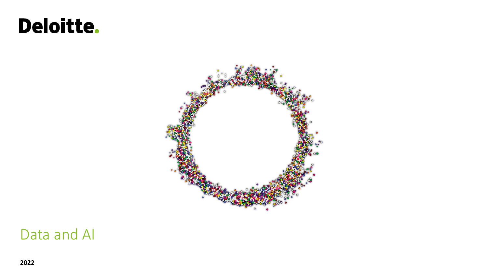# Deloitte.



### Data and AI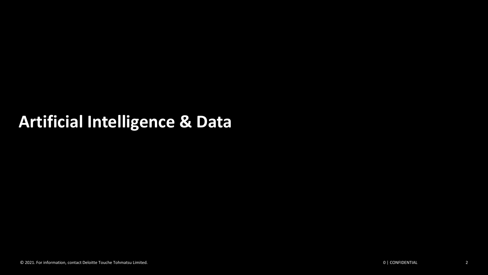## **Artificial Intelligence & Data**